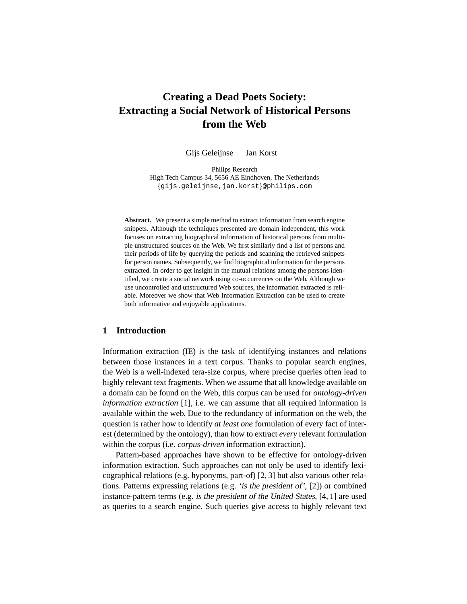# **Creating a Dead Poets Society: Extracting a Social Network of Historical Persons from the Web**

Gijs Geleijnse Jan Korst

Philips Research High Tech Campus 34, 5656 AE Eindhoven, The Netherlands {gijs.geleijnse,jan.korst}@philips.com

**Abstract.** We present a simple method to extract information from search engine snippets. Although the techniques presented are domain independent, this work focuses on extracting biographical information of historical persons from multiple unstructured sources on the Web. We first similarly find a list of persons and their periods of life by querying the periods and scanning the retrieved snippets for person names. Subsequently, we find biographical information for the persons extracted. In order to get insight in the mutual relations among the persons identified, we create a social network using co-occurrences on the Web. Although we use uncontrolled and unstructured Web sources, the information extracted is reliable. Moreover we show that Web Information Extraction can be used to create both informative and enjoyable applications.

## **1 Introduction**

Information extraction (IE) is the task of identifying instances and relations between those instances in a text corpus. Thanks to popular search engines, the Web is a well-indexed tera-size corpus, where precise queries often lead to highly relevant text fragments. When we assume that all knowledge available on a domain can be found on the Web, this corpus can be used for *ontology-driven information extraction* [1], i.e. we can assume that all required information is available within the web. Due to the redundancy of information on the web, the question is rather how to identify *at least one* formulation of every fact of interest (determined by the ontology), than how to extract *every* relevant formulation within the corpus (i.e. *corpus-driven* information extraction).

Pattern-based approaches have shown to be effective for ontology-driven information extraction. Such approaches can not only be used to identify lexicographical relations (e.g. hyponyms, part-of) [2, 3] but also various other relations. Patterns expressing relations (e.g. 'is the president of', [2]) or combined instance-pattern terms (e.g. is the president of the United States, [4, 1] are used as queries to a search engine. Such queries give access to highly relevant text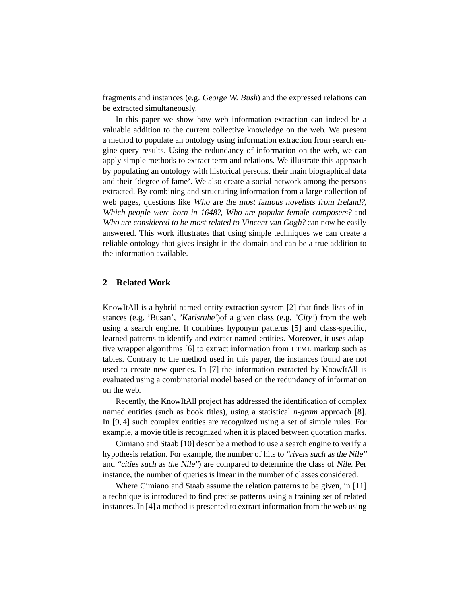fragments and instances (e.g. George W. Bush) and the expressed relations can be extracted simultaneously.

In this paper we show how web information extraction can indeed be a valuable addition to the current collective knowledge on the web. We present a method to populate an ontology using information extraction from search engine query results. Using the redundancy of information on the web, we can apply simple methods to extract term and relations. We illustrate this approach by populating an ontology with historical persons, their main biographical data and their 'degree of fame'. We also create a social network among the persons extracted. By combining and structuring information from a large collection of web pages, questions like Who are the most famous novelists from Ireland?, Which people were born in 1648?, Who are popular female composers? and Who are considered to be most related to Vincent van Gogh? can now be easily answered. This work illustrates that using simple techniques we can create a reliable ontology that gives insight in the domain and can be a true addition to the information available.

# **2 Related Work**

KnowItAll is a hybrid named-entity extraction system [2] that finds lists of instances (e.g. 'Busan', 'Karlsruhe')of a given class (e.g. 'City') from the web using a search engine. It combines hyponym patterns [5] and class-specific, learned patterns to identify and extract named-entities. Moreover, it uses adaptive wrapper algorithms [6] to extract information from HTML markup such as tables. Contrary to the method used in this paper, the instances found are not used to create new queries. In [7] the information extracted by KnowItAll is evaluated using a combinatorial model based on the redundancy of information on the web.

Recently, the KnowItAll project has addressed the identification of complex named entities (such as book titles), using a statistical *n-gram* approach [8]. In [9, 4] such complex entities are recognized using a set of simple rules. For example, a movie title is recognized when it is placed between quotation marks.

Cimiano and Staab [10] describe a method to use a search engine to verify a hypothesis relation. For example, the number of hits to "rivers such as the Nile" and "cities such as the Nile") are compared to determine the class of Nile. Per instance, the number of queries is linear in the number of classes considered.

Where Cimiano and Staab assume the relation patterns to be given, in [11] a technique is introduced to find precise patterns using a training set of related instances. In [4] a method is presented to extract information from the web using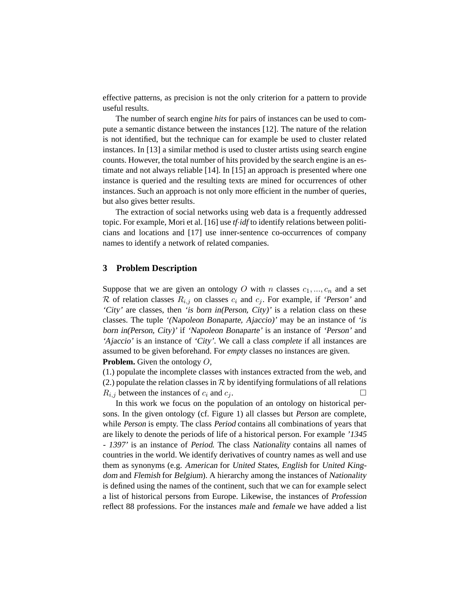effective patterns, as precision is not the only criterion for a pattern to provide useful results.

The number of search engine *hits* for pairs of instances can be used to compute a semantic distance between the instances [12]. The nature of the relation is not identified, but the technique can for example be used to cluster related instances. In [13] a similar method is used to cluster artists using search engine counts. However, the total number of hits provided by the search engine is an estimate and not always reliable [14]. In [15] an approach is presented where one instance is queried and the resulting texts are mined for occurrences of other instances. Such an approach is not only more efficient in the number of queries, but also gives better results.

The extraction of social networks using web data is a frequently addressed topic. For example, Mori et al. [16] use *tf*·*idf* to identify relations between politicians and locations and [17] use inner-sentence co-occurrences of company names to identify a network of related companies.

### **3 Problem Description**

Suppose that we are given an ontology O with n classes  $c_1, ..., c_n$  and a set R of relation classes  $R_{i,j}$  on classes  $c_i$  and  $c_j$ . For example, if 'Person' and 'City' are classes, then 'is born in(Person, City)' is a relation class on these classes. The tuple '(Napoleon Bonaparte, Ajaccio)' may be an instance of 'is born in(Person, City)' if 'Napoleon Bonaparte' is an instance of 'Person' and 'Ajaccio' is an instance of 'City'. We call a class *complete* if all instances are assumed to be given beforehand. For *empty* classes no instances are given. **Problem.** Given the ontology O,

(1.) populate the incomplete classes with instances extracted from the web, and (2.) populate the relation classes in  $R$  by identifying formulations of all relations  $R_{i,j}$  between the instances of  $c_i$  and  $c_j$ .

In this work we focus on the population of an ontology on historical persons. In the given ontology (cf. Figure 1) all classes but Person are complete, while Person is empty. The class Period contains all combinations of years that are likely to denote the periods of life of a historical person. For example '1345 - 1397' is an instance of Period. The class Nationality contains all names of countries in the world. We identify derivatives of country names as well and use them as synonyms (e.g. American for United States, English for United Kingdom and Flemish for Belgium). A hierarchy among the instances of Nationality is defined using the names of the continent, such that we can for example select a list of historical persons from Europe. Likewise, the instances of Profession reflect 88 professions. For the instances male and female we have added a list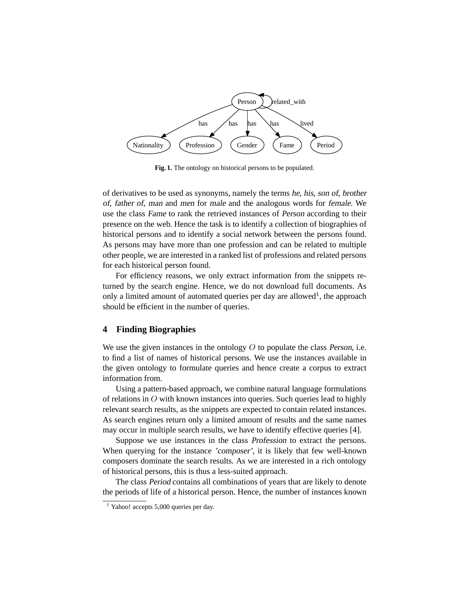

**Fig. 1.** The ontology on historical persons to be populated.

of derivatives to be used as synonyms, namely the terms he, his, son of, brother of, father of, man and men for male and the analogous words for female. We use the class Fame to rank the retrieved instances of Person according to their presence on the web. Hence the task is to identify a collection of biographies of historical persons and to identify a social network between the persons found. As persons may have more than one profession and can be related to multiple other people, we are interested in a ranked list of professions and related persons for each historical person found.

For efficiency reasons, we only extract information from the snippets returned by the search engine. Hence, we do not download full documents. As only a limited amount of automated queries per day are allowed<sup>1</sup>, the approach should be efficient in the number of queries.

#### **4 Finding Biographies**

We use the given instances in the ontology  $O$  to populate the class Person, i.e. to find a list of names of historical persons. We use the instances available in the given ontology to formulate queries and hence create a corpus to extract information from.

Using a pattern-based approach, we combine natural language formulations of relations in  $O$  with known instances into queries. Such queries lead to highly relevant search results, as the snippets are expected to contain related instances. As search engines return only a limited amount of results and the same names may occur in multiple search results, we have to identify effective queries [4].

Suppose we use instances in the class Profession to extract the persons. When querying for the instance 'composer', it is likely that few well-known composers dominate the search results. As we are interested in a rich ontology of historical persons, this is thus a less-suited approach.

The class Period contains all combinations of years that are likely to denote the periods of life of a historical person. Hence, the number of instances known

 $1$  Yahoo! accepts 5,000 queries per day.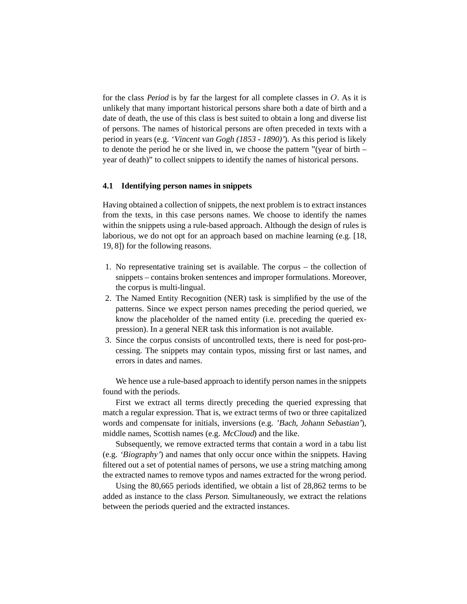for the class Period is by far the largest for all complete classes in  $O$ . As it is unlikely that many important historical persons share both a date of birth and a date of death, the use of this class is best suited to obtain a long and diverse list of persons. The names of historical persons are often preceded in texts with a period in years (e.g. 'Vincent van Gogh (1853 - 1890)'). As this period is likely to denote the period he or she lived in, we choose the pattern "(year of birth – year of death)" to collect snippets to identify the names of historical persons.

## **4.1 Identifying person names in snippets**

Having obtained a collection of snippets, the next problem is to extract instances from the texts, in this case persons names. We choose to identify the names within the snippets using a rule-based approach. Although the design of rules is laborious, we do not opt for an approach based on machine learning (e.g. [18, 19, 8]) for the following reasons.

- 1. No representative training set is available. The corpus the collection of snippets – contains broken sentences and improper formulations. Moreover, the corpus is multi-lingual.
- 2. The Named Entity Recognition (NER) task is simplified by the use of the patterns. Since we expect person names preceding the period queried, we know the placeholder of the named entity (i.e. preceding the queried expression). In a general NER task this information is not available.
- 3. Since the corpus consists of uncontrolled texts, there is need for post-processing. The snippets may contain typos, missing first or last names, and errors in dates and names.

We hence use a rule-based approach to identify person names in the snippets found with the periods.

First we extract all terms directly preceding the queried expressing that match a regular expression. That is, we extract terms of two or three capitalized words and compensate for initials, inversions (e.g. 'Bach, Johann Sebastian'), middle names, Scottish names (e.g. McCloud) and the like.

Subsequently, we remove extracted terms that contain a word in a tabu list (e.g. 'Biography') and names that only occur once within the snippets. Having filtered out a set of potential names of persons, we use a string matching among the extracted names to remove typos and names extracted for the wrong period.

Using the 80,665 periods identified, we obtain a list of 28,862 terms to be added as instance to the class Person. Simultaneously, we extract the relations between the periods queried and the extracted instances.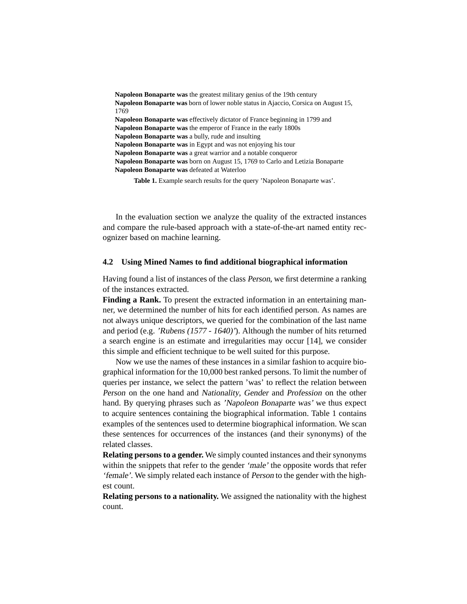**Napoleon Bonaparte was** the greatest military genius of the 19th century **Napoleon Bonaparte was** born of lower noble status in Ajaccio, Corsica on August 15, 1769 **Napoleon Bonaparte was** effectively dictator of France beginning in 1799 and **Napoleon Bonaparte was** the emperor of France in the early 1800s **Napoleon Bonaparte was** a bully, rude and insulting **Napoleon Bonaparte was** in Egypt and was not enjoying his tour **Napoleon Bonaparte was** a great warrior and a notable conqueror **Napoleon Bonaparte was** born on August 15, 1769 to Carlo and Letizia Bonaparte **Napoleon Bonaparte was** defeated at Waterloo

**Table 1.** Example search results for the query 'Napoleon Bonaparte was'.

In the evaluation section we analyze the quality of the extracted instances and compare the rule-based approach with a state-of-the-art named entity recognizer based on machine learning.

#### **4.2 Using Mined Names to find additional biographical information**

Having found a list of instances of the class Person, we first determine a ranking of the instances extracted.

**Finding a Rank.** To present the extracted information in an entertaining manner, we determined the number of hits for each identified person. As names are not always unique descriptors, we queried for the combination of the last name and period (e.g. 'Rubens (1577 - 1640)'). Although the number of hits returned a search engine is an estimate and irregularities may occur [14], we consider this simple and efficient technique to be well suited for this purpose.

Now we use the names of these instances in a similar fashion to acquire biographical information for the 10,000 best ranked persons. To limit the number of queries per instance, we select the pattern 'was' to reflect the relation between Person on the one hand and Nationality, Gender and Profession on the other hand. By querying phrases such as 'Napoleon Bonaparte was' we thus expect to acquire sentences containing the biographical information. Table 1 contains examples of the sentences used to determine biographical information. We scan these sentences for occurrences of the instances (and their synonyms) of the related classes.

**Relating persons to a gender.** We simply counted instances and their synonyms within the snippets that refer to the gender 'male' the opposite words that refer 'female'. We simply related each instance of Person to the gender with the highest count.

**Relating persons to a nationality.** We assigned the nationality with the highest count.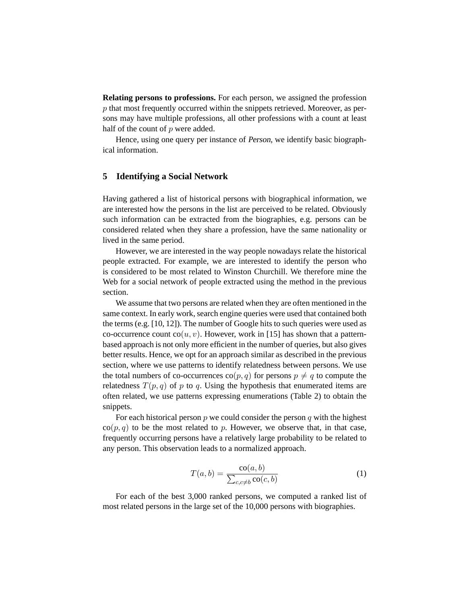**Relating persons to professions.** For each person, we assigned the profession  $p$  that most frequently occurred within the snippets retrieved. Moreover, as persons may have multiple professions, all other professions with a count at least half of the count of  $p$  were added.

Hence, using one query per instance of Person, we identify basic biographical information.

## **5 Identifying a Social Network**

Having gathered a list of historical persons with biographical information, we are interested how the persons in the list are perceived to be related. Obviously such information can be extracted from the biographies, e.g. persons can be considered related when they share a profession, have the same nationality or lived in the same period.

However, we are interested in the way people nowadays relate the historical people extracted. For example, we are interested to identify the person who is considered to be most related to Winston Churchill. We therefore mine the Web for a social network of people extracted using the method in the previous section.

We assume that two persons are related when they are often mentioned in the same context. In early work, search engine queries were used that contained both the terms (e.g. [10, 12]). The number of Google hits to such queries were used as co-occurrence count  $\text{co}(u, v)$ . However, work in [15] has shown that a patternbased approach is not only more efficient in the number of queries, but also gives better results. Hence, we opt for an approach similar as described in the previous section, where we use patterns to identify relatedness between persons. We use the total numbers of co-occurrences  $\text{co}(p, q)$  for persons  $p \neq q$  to compute the relatedness  $T(p, q)$  of p to q. Using the hypothesis that enumerated items are often related, we use patterns expressing enumerations (Table 2) to obtain the snippets.

For each historical person  $p$  we could consider the person  $q$  with the highest  $\cos(p, q)$  to be the most related to p. However, we observe that, in that case, frequently occurring persons have a relatively large probability to be related to any person. This observation leads to a normalized approach.

$$
T(a,b) = \frac{\operatorname{co}(a,b)}{\sum_{c,c \neq b} \operatorname{co}(c,b)}\tag{1}
$$

For each of the best 3,000 ranked persons, we computed a ranked list of most related persons in the large set of the 10,000 persons with biographies.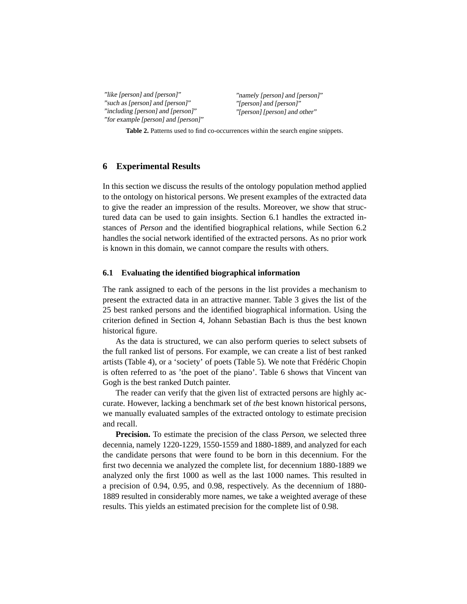"like [person] and [person]" "such as [person] and [person]" "including [person] and [person]" "for example [person] and [person]" "namely [person] and [person]" "[person] and [person]" "[person] [person] and other"

**Table 2.** Patterns used to find co-occurrences within the search engine snippets.

#### **6 Experimental Results**

In this section we discuss the results of the ontology population method applied to the ontology on historical persons. We present examples of the extracted data to give the reader an impression of the results. Moreover, we show that structured data can be used to gain insights. Section 6.1 handles the extracted instances of Person and the identified biographical relations, while Section 6.2 handles the social network identified of the extracted persons. As no prior work is known in this domain, we cannot compare the results with others.

### **6.1 Evaluating the identified biographical information**

The rank assigned to each of the persons in the list provides a mechanism to present the extracted data in an attractive manner. Table 3 gives the list of the 25 best ranked persons and the identified biographical information. Using the criterion defined in Section 4, Johann Sebastian Bach is thus the best known historical figure.

As the data is structured, we can also perform queries to select subsets of the full ranked list of persons. For example, we can create a list of best ranked artists (Table 4), or a 'society' of poets (Table 5). We note that Frédéric Chopin is often referred to as 'the poet of the piano'. Table 6 shows that Vincent van Gogh is the best ranked Dutch painter.

The reader can verify that the given list of extracted persons are highly accurate. However, lacking a benchmark set of *the* best known historical persons, we manually evaluated samples of the extracted ontology to estimate precision and recall.

**Precision.** To estimate the precision of the class *Person*, we selected three decennia, namely 1220-1229, 1550-1559 and 1880-1889, and analyzed for each the candidate persons that were found to be born in this decennium. For the first two decennia we analyzed the complete list, for decennium 1880-1889 we analyzed only the first 1000 as well as the last 1000 names. This resulted in a precision of 0.94, 0.95, and 0.98, respectively. As the decennium of 1880- 1889 resulted in considerably more names, we take a weighted average of these results. This yields an estimated precision for the complete list of 0.98.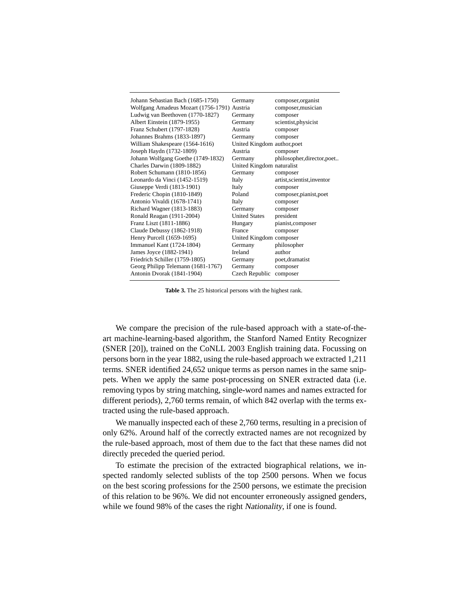| Johann Sebastian Bach (1685-1750)           | Germany                     | composer, organist          |
|---------------------------------------------|-----------------------------|-----------------------------|
| Wolfgang Amadeus Mozart (1756-1791) Austria |                             | composer, musician          |
| Ludwig van Beethoven (1770-1827)            | Germany                     | composer                    |
| Albert Einstein (1879-1955)                 | Germany                     | scientist, physicist        |
| Franz Schubert (1797-1828)                  | Austria                     | composer                    |
| Johannes Brahms (1833-1897)                 | Germany                     | composer                    |
| William Shakespeare (1564-1616)             | United Kingdom author, poet |                             |
| Joseph Haydn (1732-1809)                    | Austria                     | composer                    |
| Johann Wolfgang Goethe (1749-1832)          | Germany                     | philosopher, director, poet |
| Charles Darwin (1809-1882)                  | United Kingdom naturalist   |                             |
| Robert Schumann (1810-1856)                 | Germany                     | composer                    |
| Leonardo da Vinci (1452-1519)               | Italy                       | artist, scientist, inventor |
| Giuseppe Verdi (1813-1901)                  | Italy                       | composer                    |
| Frederic Chopin (1810-1849)                 | Poland                      | composer, pianist, poet     |
| Antonio Vivaldi (1678-1741)                 | Italy                       | composer                    |
| Richard Wagner (1813-1883)                  | Germany                     | composer                    |
| Ronald Reagan (1911-2004)                   | <b>United States</b>        | president                   |
| Franz Liszt (1811-1886)                     | Hungary                     | pianist,composer            |
| Claude Debussy (1862-1918)                  | France                      | composer                    |
| Henry Purcell (1659-1695)                   | United Kingdom composer     |                             |
| <b>Immanuel Kant (1724-1804)</b>            | Germany                     | philosopher                 |
| James Joyce (1882-1941)                     | Ireland                     | author                      |
| Friedrich Schiller (1759-1805)              | Germany                     | poet, dramatist             |
| Georg Philipp Telemann (1681-1767)          | Germany                     | composer                    |
| Antonin Dvorak (1841-1904)                  | Czech Republic              | composer                    |
|                                             |                             |                             |

**Table 3.** The 25 historical persons with the highest rank.

We compare the precision of the rule-based approach with a state-of-theart machine-learning-based algorithm, the Stanford Named Entity Recognizer (SNER [20]), trained on the CoNLL 2003 English training data. Focussing on persons born in the year 1882, using the rule-based approach we extracted 1,211 terms. SNER identified 24,652 unique terms as person names in the same snippets. When we apply the same post-processing on SNER extracted data (i.e. removing typos by string matching, single-word names and names extracted for different periods), 2,760 terms remain, of which 842 overlap with the terms extracted using the rule-based approach.

We manually inspected each of these 2,760 terms, resulting in a precision of only 62%. Around half of the correctly extracted names are not recognized by the rule-based approach, most of them due to the fact that these names did not directly preceded the queried period.

To estimate the precision of the extracted biographical relations, we inspected randomly selected sublists of the top 2500 persons. When we focus on the best scoring professions for the 2500 persons, we estimate the precision of this relation to be 96%. We did not encounter erroneously assigned genders, while we found 98% of the cases the right Nationality, if one is found.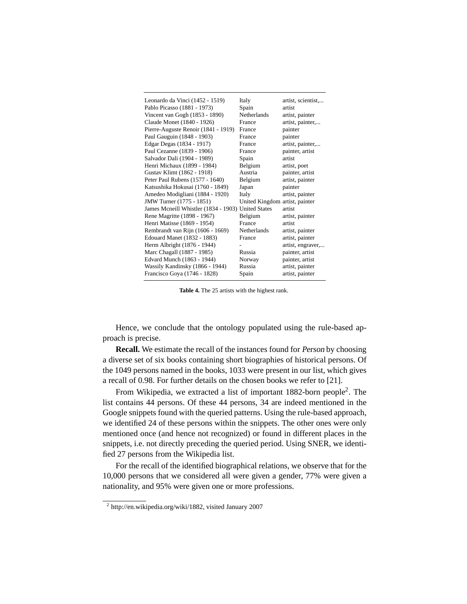| Leonardo da Vinci (1452 - 1519)                    | Italy                          | artist, scientist, |
|----------------------------------------------------|--------------------------------|--------------------|
| Pablo Picasso (1881 - 1973)                        | Spain                          | artist             |
| Vincent van Gogh (1853 - 1890)                     | Netherlands                    | artist, painter    |
| Claude Monet (1840 - 1926)                         | France                         | artist, painter,   |
| Pierre-Auguste Renoir (1841 - 1919)                | France                         | painter            |
| Paul Gauguin (1848 - 1903)                         | France                         | painter            |
| Edgar Degas (1834 - 1917)                          | France                         | artist, painter,   |
| Paul Cezanne (1839 - 1906)                         | France                         | painter, artist    |
| Salvador Dali (1904 - 1989)                        | Spain                          | artist             |
| Henri Michaux (1899 - 1984)                        | Belgium                        | artist, poet       |
| Gustav Klimt (1862 - 1918)                         | Austria                        | painter, artist    |
| Peter Paul Rubens (1577 - 1640)                    | Belgium                        | artist, painter    |
| Katsushika Hokusai (1760 - 1849)                   | Japan                          | painter            |
| Amedeo Modigliani (1884 - 1920)                    | Italy                          | artist, painter    |
| JMW Turner (1775 - 1851)                           | United Kingdom artist, painter |                    |
| James Mcneill Whistler (1834 - 1903) United States |                                | artist             |
| Rene Magritte (1898 - 1967)                        | Belgium                        | artist, painter    |
| Henri Matisse (1869 - 1954)                        | France                         | artist             |
| Rembrandt van Rijn (1606 - 1669)                   | <b>Netherlands</b>             | artist, painter    |
| Edouard Manet (1832 - 1883)                        | France                         | artist, painter    |
| Herm Albright (1876 - 1944)                        |                                | artist, engraver,  |
| Marc Chagall (1887 - 1985)                         | Russia                         | painter, artist    |
| Edvard Munch (1863 - 1944)                         | Norway                         | painter, artist    |
| Wassily Kandinsky (1866 - 1944)                    | Russia                         | artist, painter    |
| Francisco Goya (1746 - 1828)                       | Spain                          | artist, painter    |
|                                                    |                                |                    |

**Table 4.** The 25 artists with the highest rank.

Hence, we conclude that the ontology populated using the rule-based approach is precise.

**Recall.** We estimate the recall of the instances found for *Person* by choosing a diverse set of six books containing short biographies of historical persons. Of the 1049 persons named in the books, 1033 were present in our list, which gives a recall of 0.98. For further details on the chosen books we refer to [21].

From Wikipedia, we extracted a list of important 1882-born people<sup>2</sup>. The list contains 44 persons. Of these 44 persons, 34 are indeed mentioned in the Google snippets found with the queried patterns. Using the rule-based approach, we identified 24 of these persons within the snippets. The other ones were only mentioned once (and hence not recognized) or found in different places in the snippets, i.e. not directly preceding the queried period. Using SNER, we identified 27 persons from the Wikipedia list.

For the recall of the identified biographical relations, we observe that for the 10,000 persons that we considered all were given a gender, 77% were given a nationality, and 95% were given one or more professions.

<sup>2</sup> http://en.wikipedia.org/wiki/1882, visited January 2007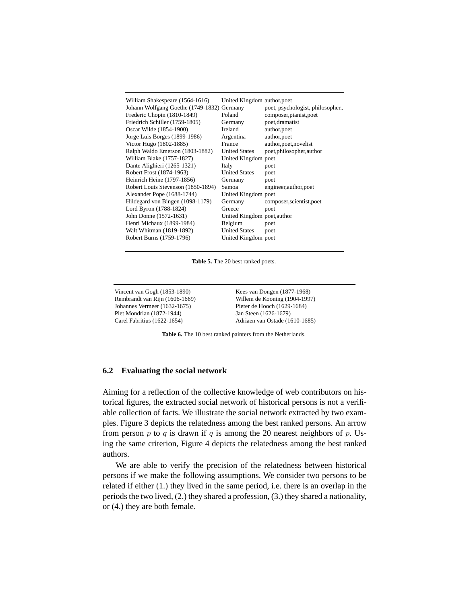| William Shakespeare (1564-1616)            | United Kingdom author, poet |                                 |
|--------------------------------------------|-----------------------------|---------------------------------|
| Johann Wolfgang Goethe (1749-1832) Germany |                             | poet, psychologist, philosopher |
| Frederic Chopin (1810-1849)                | Poland                      | composer, pianist, poet         |
| Friedrich Schiller (1759-1805)             | Germany                     | poet, dramatist                 |
| Oscar Wilde (1854-1900)                    | Ireland                     | author, poet                    |
| Jorge Luis Borges (1899-1986)              | Argentina                   | author, poet                    |
| Victor Hugo (1802-1885)                    | France                      | author, poet, novelist          |
| Ralph Waldo Emerson (1803-1882)            | <b>United States</b>        | poet, philosopher, author       |
| William Blake (1757-1827)                  | United Kingdom poet         |                                 |
| Dante Alighieri (1265-1321)                | Italy                       | poet                            |
| Robert Frost (1874-1963)                   | <b>United States</b>        | poet                            |
| Heinrich Heine (1797-1856)                 | Germany                     | poet                            |
| Robert Louis Stevenson (1850-1894)         | Samoa                       | engineer, author, poet          |
| Alexander Pope (1688-1744)                 | United Kingdom poet         |                                 |
| Hildegard von Bingen (1098-1179)           | Germany                     | composer, scientist, poet       |
| Lord Byron (1788-1824)                     | Greece                      | poet                            |
| John Donne (1572-1631)                     | United Kingdom poet, author |                                 |
| Henri Michaux (1899-1984)                  | Belgium                     | poet                            |
| Walt Whitman (1819-1892)                   | <b>United States</b>        | poet                            |
| Robert Burns (1759-1796)                   | United Kingdom poet         |                                 |
|                                            |                             |                                 |

**Table 5.** The 20 best ranked poets.

| Vincent van Gogh (1853-1890)   | Kees van Dongen $(1877-1968)$  |
|--------------------------------|--------------------------------|
| Rembrandt van Rijn (1606-1669) | Willem de Kooning (1904-1997)  |
| Johannes Vermeer (1632-1675)   | Pieter de Hooch (1629-1684)    |
| Piet Mondrian (1872-1944)      | Jan Steen (1626-1679)          |
| Carel Fabritius (1622-1654)    | Adriaen van Ostade (1610-1685) |

**Table 6.** The 10 best ranked painters from the Netherlands.

## **6.2 Evaluating the social network**

Aiming for a reflection of the collective knowledge of web contributors on historical figures, the extracted social network of historical persons is not a verifiable collection of facts. We illustrate the social network extracted by two examples. Figure 3 depicts the relatedness among the best ranked persons. An arrow from person p to q is drawn if q is among the 20 nearest neighbors of p. Using the same criterion, Figure 4 depicts the relatedness among the best ranked authors.

We are able to verify the precision of the relatedness between historical persons if we make the following assumptions. We consider two persons to be related if either (1.) they lived in the same period, i.e. there is an overlap in the periods the two lived, (2.) they shared a profession, (3.) they shared a nationality, or (4.) they are both female.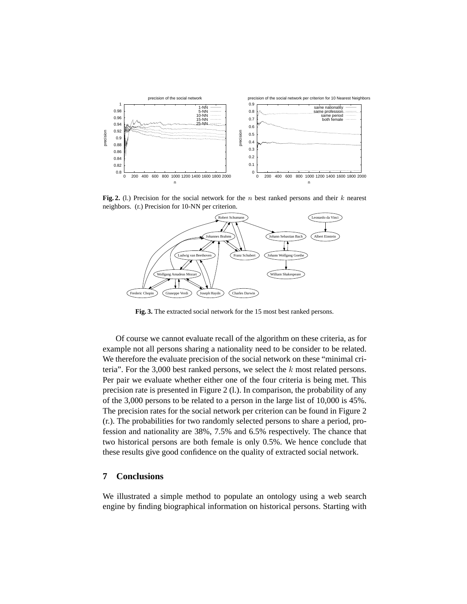

Fig. 2. (l.) Precision for the social network for the  $n$  best ranked persons and their  $k$  nearest neighbors. (r.) Precision for 10-NN per criterion.



**Fig. 3.** The extracted social network for the 15 most best ranked persons.

Of course we cannot evaluate recall of the algorithm on these criteria, as for example not all persons sharing a nationality need to be consider to be related. We therefore the evaluate precision of the social network on these "minimal criteria". For the  $3,000$  best ranked persons, we select the k most related persons. Per pair we evaluate whether either one of the four criteria is being met. This precision rate is presented in Figure 2 (l.). In comparison, the probability of any of the 3,000 persons to be related to a person in the large list of 10,000 is 45%. The precision rates for the social network per criterion can be found in Figure 2 (r.). The probabilities for two randomly selected persons to share a period, profession and nationality are 38%, 7.5% and 6.5% respectively. The chance that two historical persons are both female is only 0.5%. We hence conclude that these results give good confidence on the quality of extracted social network.

# **7 Conclusions**

We illustrated a simple method to populate an ontology using a web search engine by finding biographical information on historical persons. Starting with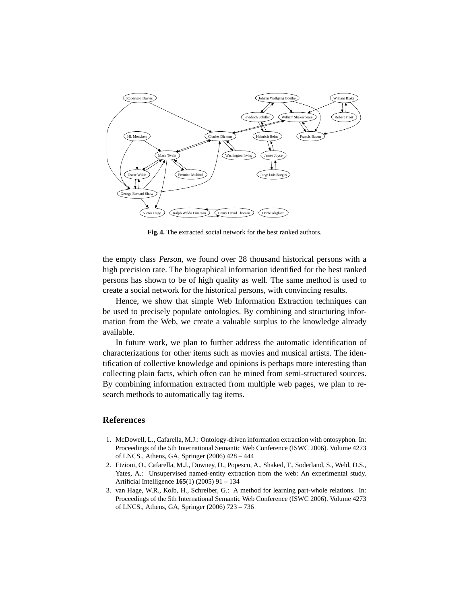

**Fig. 4.** The extracted social network for the best ranked authors.

the empty class Person, we found over 28 thousand historical persons with a high precision rate. The biographical information identified for the best ranked persons has shown to be of high quality as well. The same method is used to create a social network for the historical persons, with convincing results.

Hence, we show that simple Web Information Extraction techniques can be used to precisely populate ontologies. By combining and structuring information from the Web, we create a valuable surplus to the knowledge already available.

In future work, we plan to further address the automatic identification of characterizations for other items such as movies and musical artists. The identification of collective knowledge and opinions is perhaps more interesting than collecting plain facts, which often can be mined from semi-structured sources. By combining information extracted from multiple web pages, we plan to research methods to automatically tag items.

# **References**

- 1. McDowell, L., Cafarella, M.J.: Ontology-driven information extraction with ontosyphon. In: Proceedings of the 5th International Semantic Web Conference (ISWC 2006). Volume 4273 of LNCS., Athens, GA, Springer (2006) 428 – 444
- 2. Etzioni, O., Cafarella, M.J., Downey, D., Popescu, A., Shaked, T., Soderland, S., Weld, D.S., Yates, A.: Unsupervised named-entity extraction from the web: An experimental study. Artificial Intelligence **165**(1) (2005) 91 – 134
- 3. van Hage, W.R., Kolb, H., Schreiber, G.: A method for learning part-whole relations. In: Proceedings of the 5th International Semantic Web Conference (ISWC 2006). Volume 4273 of LNCS., Athens, GA, Springer (2006) 723 – 736